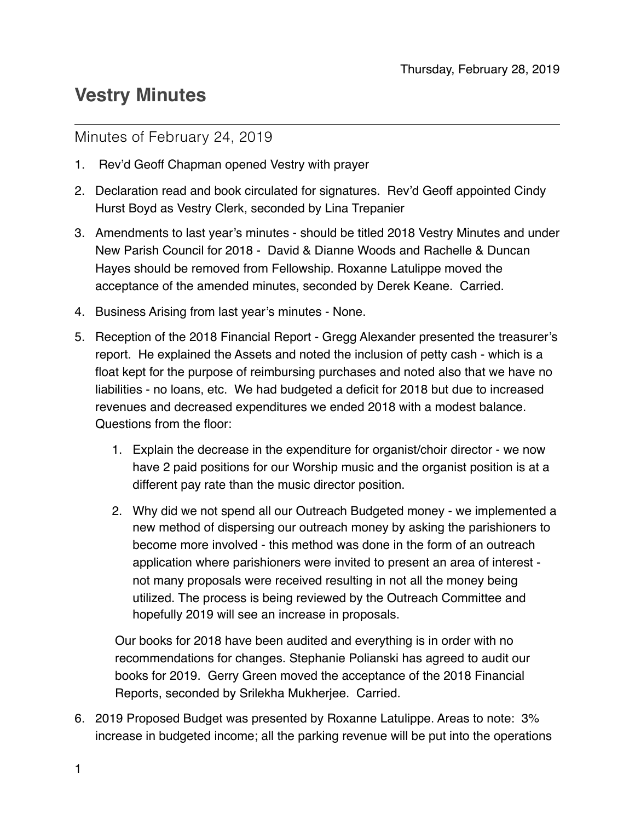## **Vestry Minutes**

## Minutes of February 24, 2019

- 1. Rev'd Geoff Chapman opened Vestry with prayer
- 2. Declaration read and book circulated for signatures. Rev'd Geoff appointed Cindy Hurst Boyd as Vestry Clerk, seconded by Lina Trepanier
- 3. Amendments to last year's minutes should be titled 2018 Vestry Minutes and under New Parish Council for 2018 - David & Dianne Woods and Rachelle & Duncan Hayes should be removed from Fellowship. Roxanne Latulippe moved the acceptance of the amended minutes, seconded by Derek Keane. Carried.
- 4. Business Arising from last year's minutes None.
- 5. Reception of the 2018 Financial Report Gregg Alexander presented the treasurer's report. He explained the Assets and noted the inclusion of petty cash - which is a float kept for the purpose of reimbursing purchases and noted also that we have no liabilities - no loans, etc. We had budgeted a deficit for 2018 but due to increased revenues and decreased expenditures we ended 2018 with a modest balance. Questions from the floor:
	- 1. Explain the decrease in the expenditure for organist/choir director we now have 2 paid positions for our Worship music and the organist position is at a different pay rate than the music director position.
	- 2. Why did we not spend all our Outreach Budgeted money we implemented a new method of dispersing our outreach money by asking the parishioners to become more involved - this method was done in the form of an outreach application where parishioners were invited to present an area of interest not many proposals were received resulting in not all the money being utilized. The process is being reviewed by the Outreach Committee and hopefully 2019 will see an increase in proposals.

Our books for 2018 have been audited and everything is in order with no recommendations for changes. Stephanie Polianski has agreed to audit our books for 2019. Gerry Green moved the acceptance of the 2018 Financial Reports, seconded by Srilekha Mukherjee. Carried.

6. 2019 Proposed Budget was presented by Roxanne Latulippe. Areas to note: 3% increase in budgeted income; all the parking revenue will be put into the operations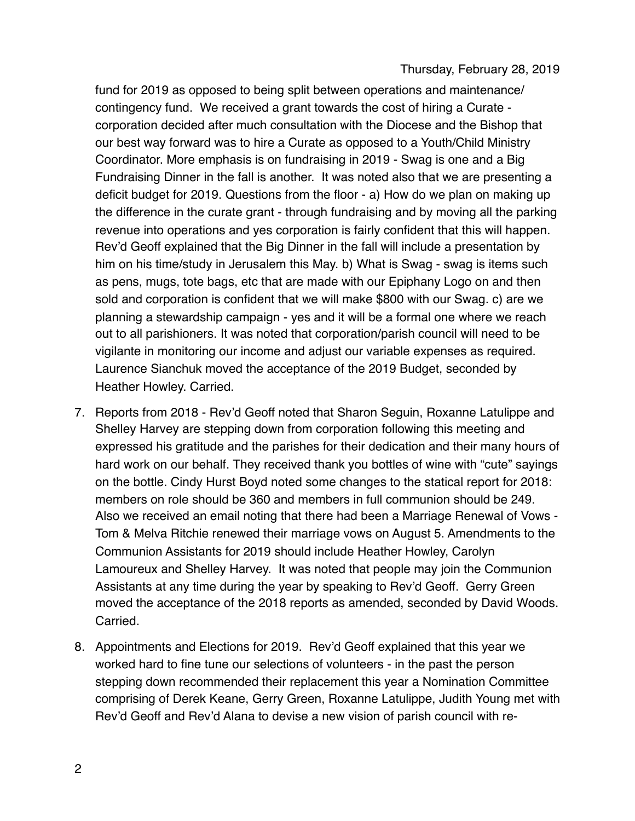fund for 2019 as opposed to being split between operations and maintenance/ contingency fund. We received a grant towards the cost of hiring a Curate corporation decided after much consultation with the Diocese and the Bishop that our best way forward was to hire a Curate as opposed to a Youth/Child Ministry Coordinator. More emphasis is on fundraising in 2019 - Swag is one and a Big Fundraising Dinner in the fall is another. It was noted also that we are presenting a deficit budget for 2019. Questions from the floor - a) How do we plan on making up the difference in the curate grant - through fundraising and by moving all the parking revenue into operations and yes corporation is fairly confident that this will happen. Rev'd Geoff explained that the Big Dinner in the fall will include a presentation by him on his time/study in Jerusalem this May. b) What is Swag - swag is items such as pens, mugs, tote bags, etc that are made with our Epiphany Logo on and then sold and corporation is confident that we will make \$800 with our Swag. c) are we planning a stewardship campaign - yes and it will be a formal one where we reach out to all parishioners. It was noted that corporation/parish council will need to be vigilante in monitoring our income and adjust our variable expenses as required. Laurence Sianchuk moved the acceptance of the 2019 Budget, seconded by Heather Howley. Carried.

- 7. Reports from 2018 Rev'd Geoff noted that Sharon Seguin, Roxanne Latulippe and Shelley Harvey are stepping down from corporation following this meeting and expressed his gratitude and the parishes for their dedication and their many hours of hard work on our behalf. They received thank you bottles of wine with "cute" sayings on the bottle. Cindy Hurst Boyd noted some changes to the statical report for 2018: members on role should be 360 and members in full communion should be 249. Also we received an email noting that there had been a Marriage Renewal of Vows - Tom & Melva Ritchie renewed their marriage vows on August 5. Amendments to the Communion Assistants for 2019 should include Heather Howley, Carolyn Lamoureux and Shelley Harvey. It was noted that people may join the Communion Assistants at any time during the year by speaking to Rev'd Geoff. Gerry Green moved the acceptance of the 2018 reports as amended, seconded by David Woods. Carried.
- 8. Appointments and Elections for 2019. Rev'd Geoff explained that this year we worked hard to fine tune our selections of volunteers - in the past the person stepping down recommended their replacement this year a Nomination Committee comprising of Derek Keane, Gerry Green, Roxanne Latulippe, Judith Young met with Rev'd Geoff and Rev'd Alana to devise a new vision of parish council with re-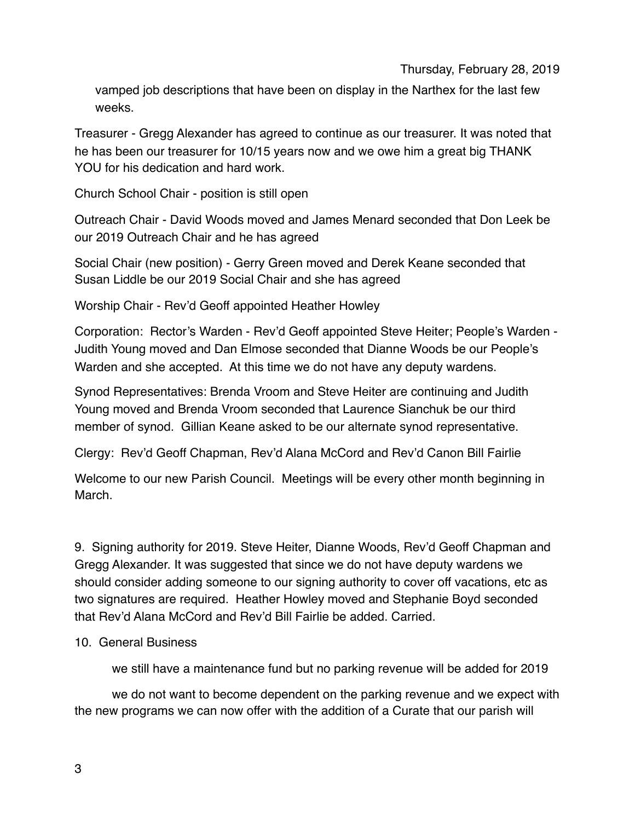vamped job descriptions that have been on display in the Narthex for the last few weeks.

Treasurer - Gregg Alexander has agreed to continue as our treasurer. It was noted that he has been our treasurer for 10/15 years now and we owe him a great big THANK YOU for his dedication and hard work.

Church School Chair - position is still open

Outreach Chair - David Woods moved and James Menard seconded that Don Leek be our 2019 Outreach Chair and he has agreed

Social Chair (new position) - Gerry Green moved and Derek Keane seconded that Susan Liddle be our 2019 Social Chair and she has agreed

Worship Chair - Rev'd Geoff appointed Heather Howley

Corporation: Rector's Warden - Rev'd Geoff appointed Steve Heiter; People's Warden - Judith Young moved and Dan Elmose seconded that Dianne Woods be our People's Warden and she accepted. At this time we do not have any deputy wardens.

Synod Representatives: Brenda Vroom and Steve Heiter are continuing and Judith Young moved and Brenda Vroom seconded that Laurence Sianchuk be our third member of synod. Gillian Keane asked to be our alternate synod representative.

Clergy: Rev'd Geoff Chapman, Rev'd Alana McCord and Rev'd Canon Bill Fairlie

Welcome to our new Parish Council. Meetings will be every other month beginning in March.

9. Signing authority for 2019. Steve Heiter, Dianne Woods, Rev'd Geoff Chapman and Gregg Alexander. It was suggested that since we do not have deputy wardens we should consider adding someone to our signing authority to cover off vacations, etc as two signatures are required. Heather Howley moved and Stephanie Boyd seconded that Rev'd Alana McCord and Rev'd Bill Fairlie be added. Carried.

## 10. General Business

we still have a maintenance fund but no parking revenue will be added for 2019

we do not want to become dependent on the parking revenue and we expect with the new programs we can now offer with the addition of a Curate that our parish will